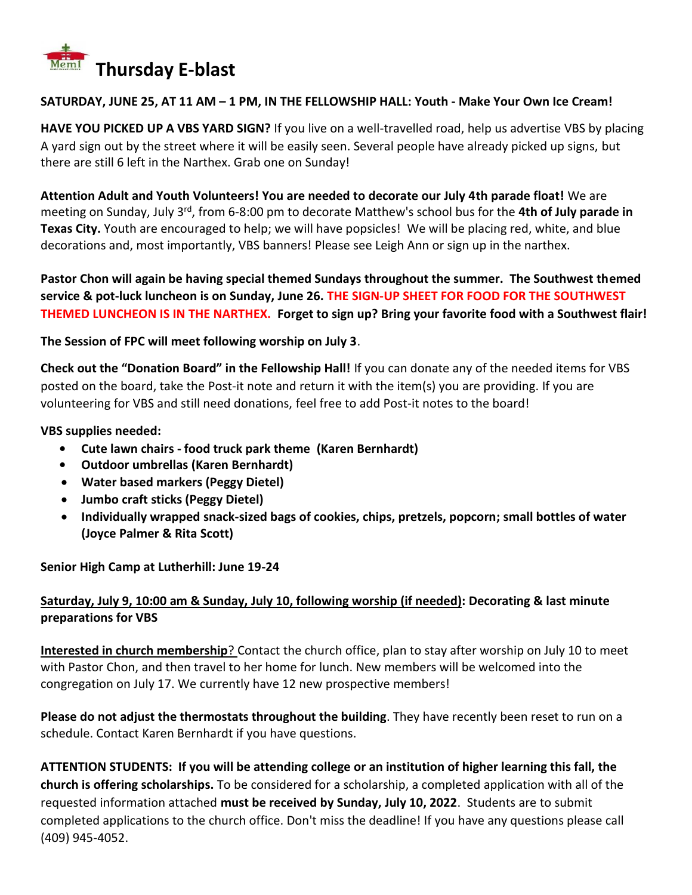

### **SATURDAY, JUNE 25, AT 11 AM – 1 PM, IN THE FELLOWSHIP HALL: Youth - Make Your Own Ice Cream!**

**HAVE YOU PICKED UP A VBS YARD SIGN?** If you live on a well-travelled road, help us advertise VBS by placing A yard sign out by the street where it will be easily seen. Several people have already picked up signs, but there are still 6 left in the Narthex. Grab one on Sunday!

**Attention Adult and Youth Volunteers! You are needed to decorate our July 4th parade float!** We are meeting on Sunday, July 3<sup>rd</sup>, from 6-8:00 pm to decorate Matthew's school bus for the 4th of July parade in **Texas City.** Youth are encouraged to help; we will have popsicles! We will be placing red, white, and blue decorations and, most importantly, VBS banners! Please see Leigh Ann or sign up in the narthex.

**Pastor Chon will again be having special themed Sundays throughout the summer. The Southwest themed service & pot-luck luncheon is on Sunday, June 26. THE SIGN-UP SHEET FOR FOOD FOR THE SOUTHWEST THEMED LUNCHEON IS IN THE NARTHEX. Forget to sign up? Bring your favorite food with a Southwest flair!**

### **The Session of FPC will meet following worship on July 3**.

**Check out the "Donation Board" in the Fellowship Hall!** If you can donate any of the needed items for VBS posted on the board, take the Post-it note and return it with the item(s) you are providing. If you are volunteering for VBS and still need donations, feel free to add Post-it notes to the board!

### **VBS supplies needed:**

- **• Cute lawn chairs - food truck park theme (Karen Bernhardt)**
- **• Outdoor umbrellas (Karen Bernhardt)**
- **Water based markers (Peggy Dietel)**
- **Jumbo craft sticks (Peggy Dietel)**
- **Individually wrapped snack-sized bags of cookies, chips, pretzels, popcorn; small bottles of water (Joyce Palmer & Rita Scott)**

**Senior High Camp at Lutherhill: June 19-24**

# **Saturday, July 9, 10:00 am & Sunday, July 10, following worship (if needed): Decorating & last minute preparations for VBS**

**Interested in church membership**? Contact the church office, plan to stay after worship on July 10 to meet with Pastor Chon, and then travel to her home for lunch. New members will be welcomed into the congregation on July 17. We currently have 12 new prospective members!

**Please do not adjust the thermostats throughout the building**. They have recently been reset to run on a schedule. Contact Karen Bernhardt if you have questions.

**ATTENTION STUDENTS: If you will be attending college or an institution of higher learning this fall, the church is offering scholarships.** To be considered for a scholarship, a completed application with all of the requested information attached **must be received by Sunday, July 10, 2022**. Students are to submit completed applications to the church office. Don't miss the deadline! If you have any questions please call (409) 945-4052.